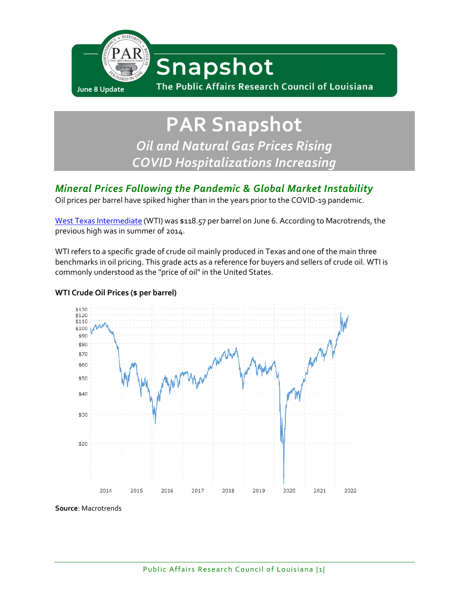

# **PAR Snapshot** *Oil and Natural Gas Prices Rising COVID Hospitalizations Increasing*

## *Mineral Prices Following the Pandemic & Global Market Instability*

Oil prices per barrel have spiked higher than in the years prior to the COVID-19 pandemic.

[West Texas Intermediate](https://www.investopedia.com/terms/w/wti.asp) (WTI) was \$118.57 per barrel on June 6. According to Macrotrends, the previous high was in summer of 2014.

WTI refers to a specific grade of crude oil mainly produced in Texas and one of the main three benchmarks in oil pricing. This grade acts as a reference for buyers and sellers of crude oil. WTI is commonly understood as the "price of oil" in the United States.

#### \$130  $$120$  $$110$ \$100 \$90 \$80 \$70 \$60 \$50 \$40 \$30 \$20 2014 2015 2016 2017 2018 2019 2020 2021 2022

#### **WTI Crude Oil Prices (\$ per barrel)**

**Source**: Macrotrends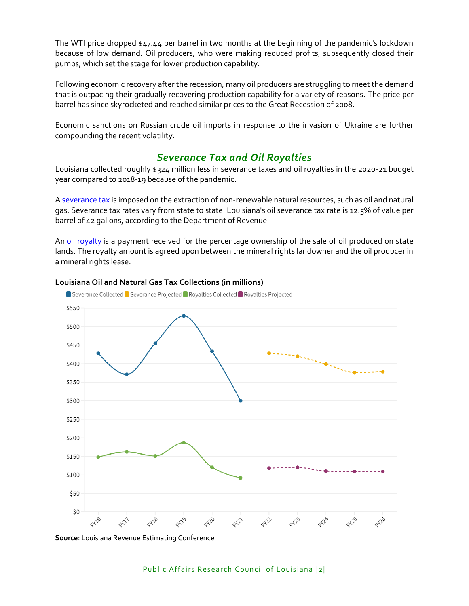The WTI price dropped \$47.44 per barrel in two months at the beginning of the pandemic's lockdown because of low demand. Oil producers, who were making reduced profits, subsequently closed their pumps, which set the stage for lower production capability.

Following economic recovery after the recession, many oil producers are struggling to meet the demand that is outpacing their gradually recovering production capability for a variety of reasons. The price per barrel has since skyrocketed and reached similar prices to the Great Recession of 2008.

Economic sanctions on Russian crude oil imports in response to the invasion of Ukraine are further compounding the recent volatility.

### *Severance Tax and Oil Royalties*

Louisiana collected roughly \$324 million less in severance taxes and oil royalties in the 2020-21 budget year compared to 2018-19 because of the pandemic.

A [severance tax](https://www.investopedia.com/terms/s/severance-tax.asp) is imposed on the extraction of non-renewable natural resources, such as oil and natural gas. Severance tax rates vary from state to state. Louisiana's oil severance tax rate is 12.5% of value per barrel of 42 gallons, according to the Department of Revenue.

An [oil royalty](https://www.rangerminerals.com/what-are-oil-royalties/#:~:text=An%20oil%20royalty%20is%20a%20payment%20receivable%20for,rights%20lease.%20Mineral%20Rights%20Leases%3A%20The%20Lessee%20vs.) is a payment received for the percentage ownership of the sale of oil produced on state lands. The royalty amount is agreed upon between the mineral rights landowner and the oil producer in a mineral rights lease.



#### **Louisiana Oil and Natural Gas Tax Collections (in millions)**

**Source**: Louisiana Revenue Estimating Conference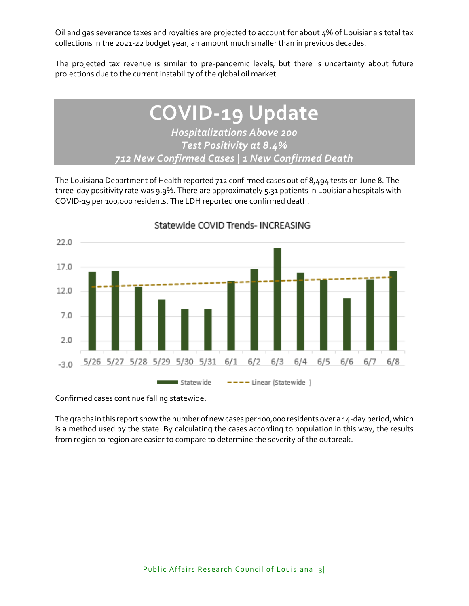Oil and gas severance taxes and royalties are projected to account for about 4% of Louisiana's total tax collections in the 2021-22 budget year, an amount much smaller than in previous decades.

The projected tax revenue is similar to pre-pandemic levels, but there is uncertainty about future projections due to the current instability of the global oil market.

## **COVID-19 Update** *Hospitalizations Above 200 Test Positivity at 8.4% 712 New Confirmed Cases | 1 New Confirmed Death*

The Louisiana Department of Health reported 712 confirmed cases out of 8,494 tests on June 8. The three-day positivity rate was 9.9%. There are approximately 5.31 patients in Louisiana hospitals with COVID-19 per 100,000 residents. The LDH reported one confirmed death.



Statewide COVID Trends- INCREASING

Confirmed cases continue falling statewide.

The graphs in this report show the number of new cases per 100,000 residents over a 14-day period, which is a method used by the state. By calculating the cases according to population in this way, the results from region to region are easier to compare to determine the severity of the outbreak.